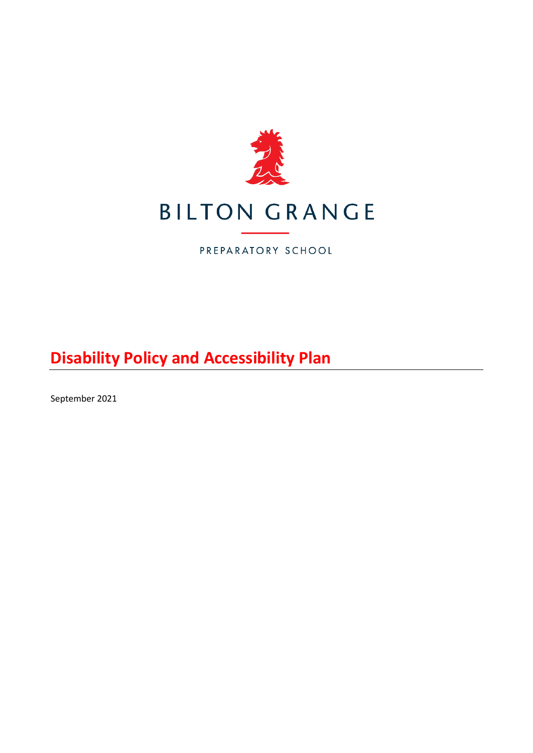

PREPARATORY SCHOOL

**Disability Policy and Accessibility Plan**

September 2021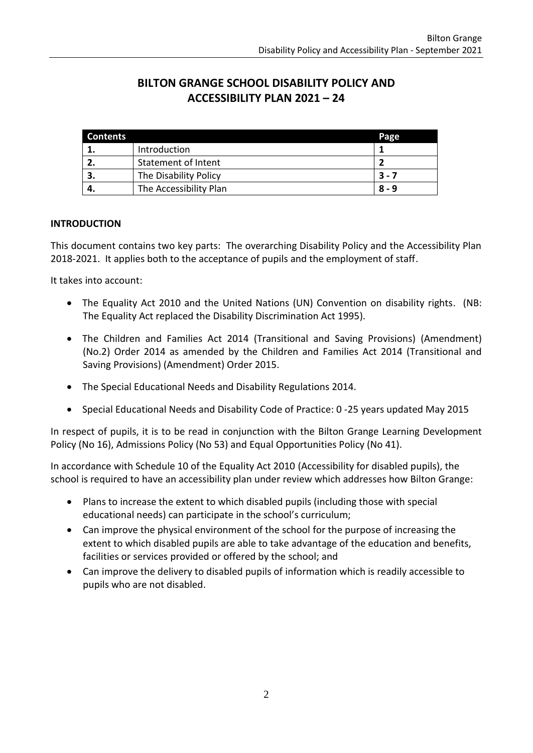# **BILTON GRANGE SCHOOL DISABILITY POLICY AND ACCESSIBILITY PLAN 2021 – 24**

| <b>Contents</b> |                        | Page    |
|-----------------|------------------------|---------|
|                 | Introduction           |         |
|                 | Statement of Intent    |         |
|                 | The Disability Policy  | $3 - 7$ |
|                 | The Accessibility Plan | $8 - 9$ |

#### **INTRODUCTION**

This document contains two key parts: The overarching Disability Policy and the Accessibility Plan 2018-2021. It applies both to the acceptance of pupils and the employment of staff.

It takes into account:

- The Equality Act 2010 and the United Nations (UN) Convention on disability rights. (NB: The Equality Act replaced the Disability Discrimination Act 1995).
- The Children and Families Act 2014 (Transitional and Saving Provisions) (Amendment) (No.2) Order 2014 as amended by the Children and Families Act 2014 (Transitional and Saving Provisions) (Amendment) Order 2015.
- The Special Educational Needs and Disability Regulations 2014.
- Special Educational Needs and Disability Code of Practice: 0 -25 years updated May 2015

In respect of pupils, it is to be read in conjunction with the Bilton Grange Learning Development Policy (No 16), Admissions Policy (No 53) and Equal Opportunities Policy (No 41).

In accordance with Schedule 10 of the Equality Act 2010 (Accessibility for disabled pupils), the school is required to have an accessibility plan under review which addresses how Bilton Grange:

- Plans to increase the extent to which disabled pupils (including those with special educational needs) can participate in the school's curriculum;
- Can improve the physical environment of the school for the purpose of increasing the extent to which disabled pupils are able to take advantage of the education and benefits, facilities or services provided or offered by the school; and
- Can improve the delivery to disabled pupils of information which is readily accessible to pupils who are not disabled.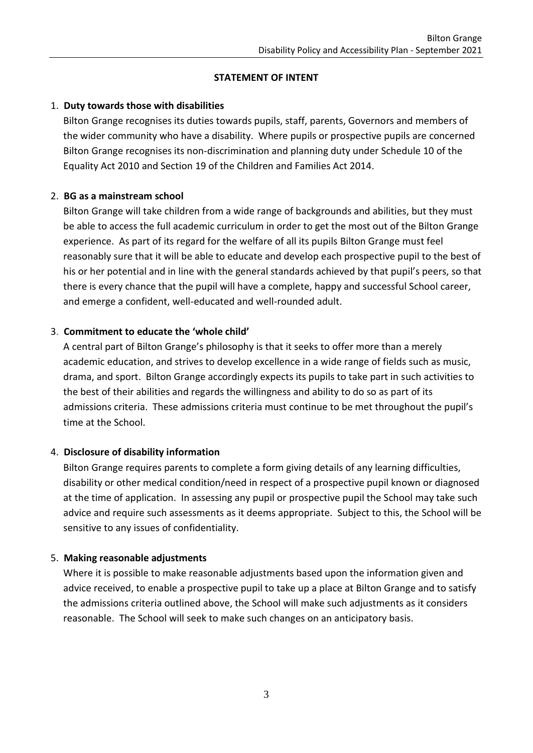#### **STATEMENT OF INTENT**

#### 1. **Duty towards those with disabilities**

Bilton Grange recognises its duties towards pupils, staff, parents, Governors and members of the wider community who have a disability. Where pupils or prospective pupils are concerned Bilton Grange recognises its non-discrimination and planning duty under Schedule 10 of the Equality Act 2010 and Section 19 of the Children and Families Act 2014.

#### 2. **BG as a mainstream school**

Bilton Grange will take children from a wide range of backgrounds and abilities, but they must be able to access the full academic curriculum in order to get the most out of the Bilton Grange experience. As part of its regard for the welfare of all its pupils Bilton Grange must feel reasonably sure that it will be able to educate and develop each prospective pupil to the best of his or her potential and in line with the general standards achieved by that pupil's peers, so that there is every chance that the pupil will have a complete, happy and successful School career, and emerge a confident, well-educated and well-rounded adult.

#### 3. **Commitment to educate the 'whole child'**

A central part of Bilton Grange's philosophy is that it seeks to offer more than a merely academic education, and strives to develop excellence in a wide range of fields such as music, drama, and sport. Bilton Grange accordingly expects its pupils to take part in such activities to the best of their abilities and regards the willingness and ability to do so as part of its admissions criteria. These admissions criteria must continue to be met throughout the pupil's time at the School.

# 4. **Disclosure of disability information**

Bilton Grange requires parents to complete a form giving details of any learning difficulties, disability or other medical condition/need in respect of a prospective pupil known or diagnosed at the time of application. In assessing any pupil or prospective pupil the School may take such advice and require such assessments as it deems appropriate. Subject to this, the School will be sensitive to any issues of confidentiality.

# 5. **Making reasonable adjustments**

Where it is possible to make reasonable adjustments based upon the information given and advice received, to enable a prospective pupil to take up a place at Bilton Grange and to satisfy the admissions criteria outlined above, the School will make such adjustments as it considers reasonable. The School will seek to make such changes on an anticipatory basis.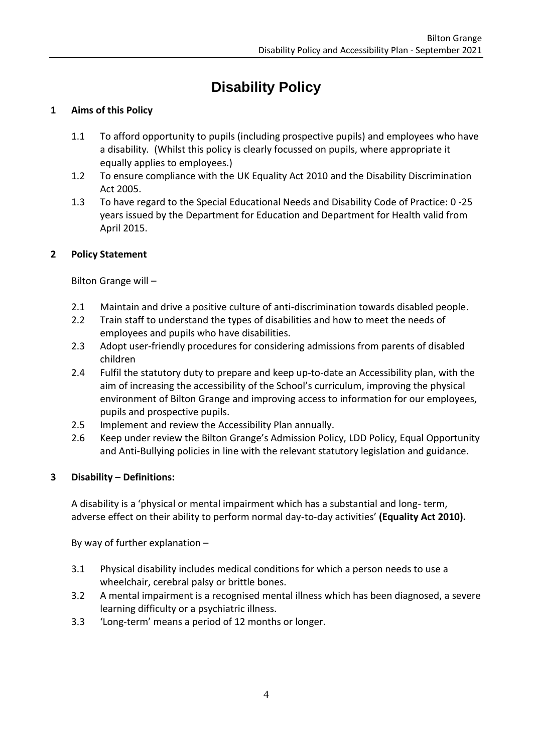# **Disability Policy**

# **1 Aims of this Policy**

- 1.1 To afford opportunity to pupils (including prospective pupils) and employees who have a disability*.* (Whilst this policy is clearly focussed on pupils, where appropriate it equally applies to employees.)
- 1.2 To ensure compliance with the UK Equality Act 2010 and the Disability Discrimination Act 2005.
- 1.3 To have regard to the Special Educational Needs and Disability Code of Practice: 0 -25 years issued by the Department for Education and Department for Health valid from April 2015.

# **2 Policy Statement**

Bilton Grange will –

- 2.1 Maintain and drive a positive culture of anti-discrimination towards disabled people.
- 2.2 Train staff to understand the types of disabilities and how to meet the needs of employees and pupils who have disabilities.
- 2.3 Adopt user-friendly procedures for considering admissions from parents of disabled children
- 2.4 Fulfil the statutory duty to prepare and keep up-to-date an Accessibility plan, with the aim of increasing the accessibility of the School's curriculum, improving the physical environment of Bilton Grange and improving access to information for our employees, pupils and prospective pupils.
- 2.5 Implement and review the Accessibility Plan annually.
- 2.6 Keep under review the Bilton Grange's Admission Policy, LDD Policy, Equal Opportunity and Anti-Bullying policies in line with the relevant statutory legislation and guidance.

# **3 Disability – Definitions:**

A disability is a 'physical or mental impairment which has a substantial and long- term, adverse effect on their ability to perform normal day-to-day activities' **(Equality Act 2010).**

By way of further explanation –

- 3.1 Physical disability includes medical conditions for which a person needs to use a wheelchair, cerebral palsy or brittle bones.
- 3.2 A mental impairment is a recognised mental illness which has been diagnosed, a severe learning difficulty or a psychiatric illness.
- 3.3 'Long-term' means a period of 12 months or longer.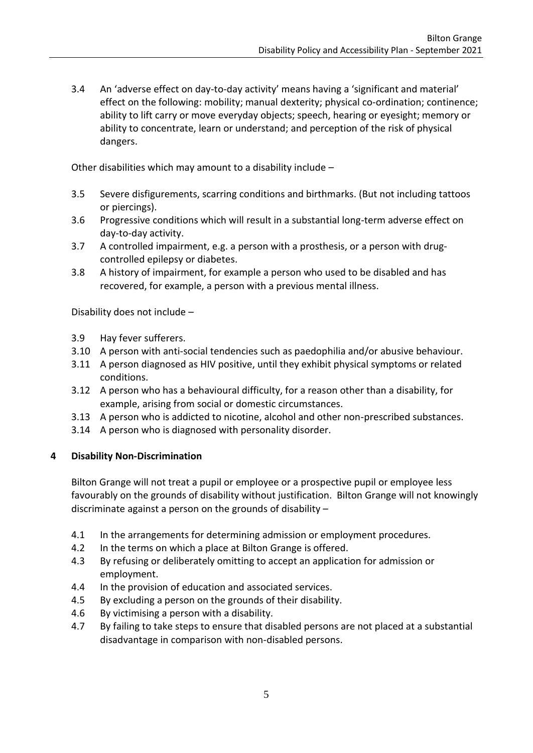3.4 An 'adverse effect on day-to-day activity' means having a 'significant and material' effect on the following: mobility; manual dexterity; physical co-ordination; continence; ability to lift carry or move everyday objects; speech, hearing or eyesight; memory or ability to concentrate, learn or understand; and perception of the risk of physical dangers.

Other disabilities which may amount to a disability include –

- 3.5 Severe disfigurements, scarring conditions and birthmarks. (But not including tattoos or piercings).
- 3.6 Progressive conditions which will result in a substantial long-term adverse effect on day-to-day activity.
- 3.7 A controlled impairment, e.g. a person with a prosthesis, or a person with drugcontrolled epilepsy or diabetes.
- 3.8 A history of impairment, for example a person who used to be disabled and has recovered, for example, a person with a previous mental illness.

Disability does not include –

- 3.9 Hay fever sufferers.
- 3.10 A person with anti-social tendencies such as paedophilia and/or abusive behaviour.
- 3.11 A person diagnosed as HIV positive, until they exhibit physical symptoms or related conditions.
- 3.12 A person who has a behavioural difficulty, for a reason other than a disability, for example, arising from social or domestic circumstances.
- 3.13 A person who is addicted to nicotine, alcohol and other non-prescribed substances.
- 3.14 A person who is diagnosed with personality disorder.

#### **4 Disability Non-Discrimination**

Bilton Grange will not treat a pupil or employee or a prospective pupil or employee less favourably on the grounds of disability without justification. Bilton Grange will not knowingly discriminate against a person on the grounds of disability –

- 4.1 In the arrangements for determining admission or employment procedures.
- 4.2 In the terms on which a place at Bilton Grange is offered.
- 4.3 By refusing or deliberately omitting to accept an application for admission or employment.
- 4.4 In the provision of education and associated services.
- 4.5 By excluding a person on the grounds of their disability.
- 4.6 By victimising a person with a disability.
- 4.7 By failing to take steps to ensure that disabled persons are not placed at a substantial disadvantage in comparison with non-disabled persons.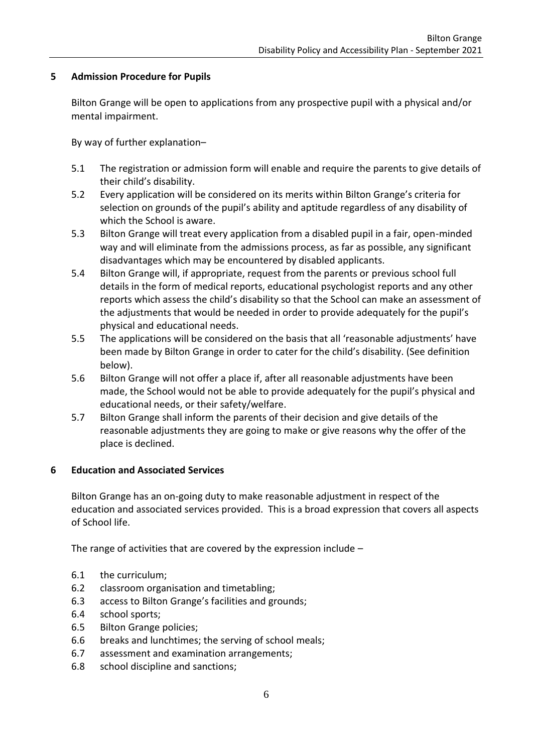#### **5 Admission Procedure for Pupils**

Bilton Grange will be open to applications from any prospective pupil with a physical and/or mental impairment.

By way of further explanation–

- 5.1 The registration or admission form will enable and require the parents to give details of their child's disability.
- 5.2 Every application will be considered on its merits within Bilton Grange's criteria for selection on grounds of the pupil's ability and aptitude regardless of any disability of which the School is aware.
- 5.3 Bilton Grange will treat every application from a disabled pupil in a fair, open-minded way and will eliminate from the admissions process, as far as possible, any significant disadvantages which may be encountered by disabled applicants.
- 5.4 Bilton Grange will, if appropriate, request from the parents or previous school full details in the form of medical reports, educational psychologist reports and any other reports which assess the child's disability so that the School can make an assessment of the adjustments that would be needed in order to provide adequately for the pupil's physical and educational needs.
- 5.5 The applications will be considered on the basis that all 'reasonable adjustments' have been made by Bilton Grange in order to cater for the child's disability. (See definition below).
- 5.6 Bilton Grange will not offer a place if, after all reasonable adjustments have been made, the School would not be able to provide adequately for the pupil's physical and educational needs, or their safety/welfare.
- 5.7 Bilton Grange shall inform the parents of their decision and give details of the reasonable adjustments they are going to make or give reasons why the offer of the place is declined.

#### **6 Education and Associated Services**

Bilton Grange has an on-going duty to make reasonable adjustment in respect of the education and associated services provided. This is a broad expression that covers all aspects of School life.

The range of activities that are covered by the expression include –

- 6.1 the curriculum;
- 6.2 classroom organisation and timetabling;
- 6.3 access to Bilton Grange's facilities and grounds;
- 6.4 school sports;
- 6.5 Bilton Grange policies;
- 6.6 breaks and lunchtimes; the serving of school meals;
- 6.7 assessment and examination arrangements;
- 6.8 school discipline and sanctions;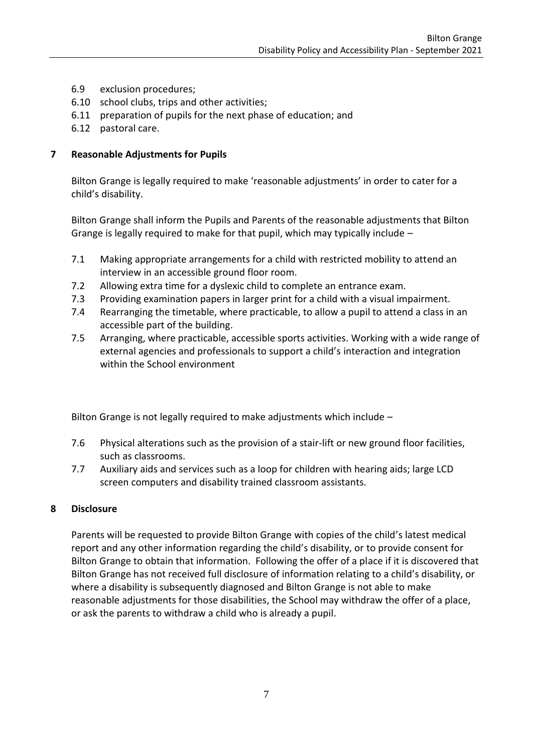- 6.9 exclusion procedures;
- 6.10 school clubs, trips and other activities;
- 6.11 preparation of pupils for the next phase of education; and
- 6.12 pastoral care.

#### **7 Reasonable Adjustments for Pupils**

Bilton Grange is legally required to make 'reasonable adjustments' in order to cater for a child's disability.

Bilton Grange shall inform the Pupils and Parents of the reasonable adjustments that Bilton Grange is legally required to make for that pupil, which may typically include –

- 7.1 Making appropriate arrangements for a child with restricted mobility to attend an interview in an accessible ground floor room.
- 7.2 Allowing extra time for a dyslexic child to complete an entrance exam.
- 7.3 Providing examination papers in larger print for a child with a visual impairment.
- 7.4 Rearranging the timetable, where practicable, to allow a pupil to attend a class in an accessible part of the building.
- 7.5 Arranging, where practicable, accessible sports activities. Working with a wide range of external agencies and professionals to support a child's interaction and integration within the School environment

Bilton Grange is not legally required to make adjustments which include –

- 7.6 Physical alterations such as the provision of a stair-lift or new ground floor facilities, such as classrooms.
- 7.7 Auxiliary aids and services such as a loop for children with hearing aids; large LCD screen computers and disability trained classroom assistants.

#### **8 Disclosure**

Parents will be requested to provide Bilton Grange with copies of the child's latest medical report and any other information regarding the child's disability, or to provide consent for Bilton Grange to obtain that information. Following the offer of a place if it is discovered that Bilton Grange has not received full disclosure of information relating to a child's disability, or where a disability is subsequently diagnosed and Bilton Grange is not able to make reasonable adjustments for those disabilities, the School may withdraw the offer of a place, or ask the parents to withdraw a child who is already a pupil.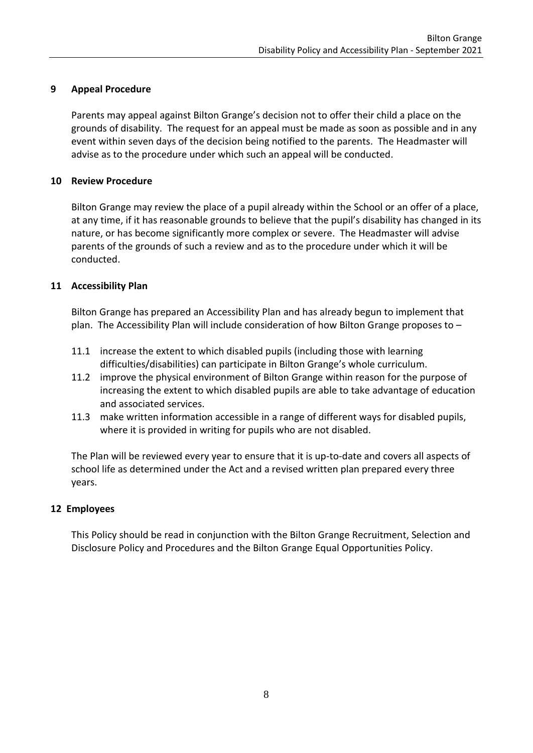#### **9 Appeal Procedure**

Parents may appeal against Bilton Grange's decision not to offer their child a place on the grounds of disability. The request for an appeal must be made as soon as possible and in any event within seven days of the decision being notified to the parents. The Headmaster will advise as to the procedure under which such an appeal will be conducted.

#### **10 Review Procedure**

Bilton Grange may review the place of a pupil already within the School or an offer of a place, at any time, if it has reasonable grounds to believe that the pupil's disability has changed in its nature, or has become significantly more complex or severe. The Headmaster will advise parents of the grounds of such a review and as to the procedure under which it will be conducted.

#### **11 Accessibility Plan**

Bilton Grange has prepared an Accessibility Plan and has already begun to implement that plan. The Accessibility Plan will include consideration of how Bilton Grange proposes to –

- 11.1 increase the extent to which disabled pupils (including those with learning difficulties/disabilities) can participate in Bilton Grange's whole curriculum.
- 11.2 improve the physical environment of Bilton Grange within reason for the purpose of increasing the extent to which disabled pupils are able to take advantage of education and associated services.
- 11.3 make written information accessible in a range of different ways for disabled pupils, where it is provided in writing for pupils who are not disabled.

The Plan will be reviewed every year to ensure that it is up-to-date and covers all aspects of school life as determined under the Act and a revised written plan prepared every three years.

#### **12 Employees**

This Policy should be read in conjunction with the Bilton Grange Recruitment, Selection and Disclosure Policy and Procedures and the Bilton Grange Equal Opportunities Policy.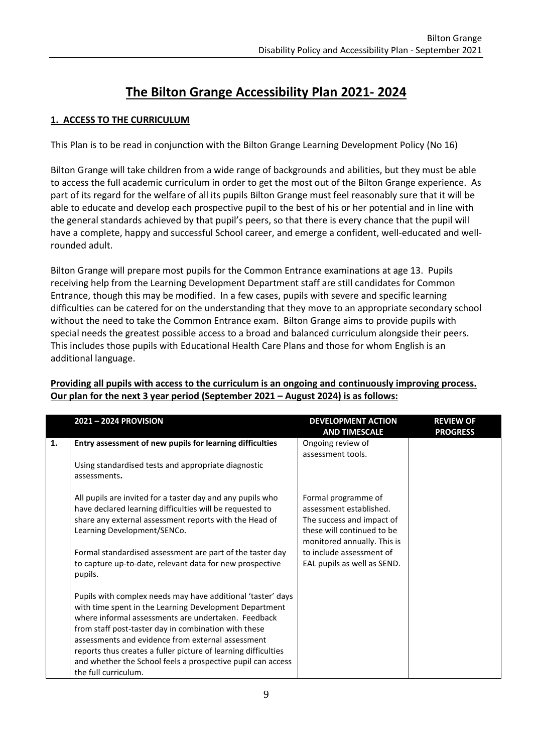# **The Bilton Grange Accessibility Plan 2021- 2024**

# **1. ACCESS TO THE CURRICULUM**

This Plan is to be read in conjunction with the Bilton Grange Learning Development Policy (No 16)

Bilton Grange will take children from a wide range of backgrounds and abilities, but they must be able to access the full academic curriculum in order to get the most out of the Bilton Grange experience. As part of its regard for the welfare of all its pupils Bilton Grange must feel reasonably sure that it will be able to educate and develop each prospective pupil to the best of his or her potential and in line with the general standards achieved by that pupil's peers, so that there is every chance that the pupil will have a complete, happy and successful School career, and emerge a confident, well-educated and wellrounded adult.

Bilton Grange will prepare most pupils for the Common Entrance examinations at age 13. Pupils receiving help from the Learning Development Department staff are still candidates for Common Entrance, though this may be modified. In a few cases, pupils with severe and specific learning difficulties can be catered for on the understanding that they move to an appropriate secondary school without the need to take the Common Entrance exam. Bilton Grange aims to provide pupils with special needs the greatest possible access to a broad and balanced curriculum alongside their peers. This includes those pupils with Educational Health Care Plans and those for whom English is an additional language.

|    | 2021-2024 PROVISION                                                                                                                                                                                                                                                                                                                                                                                                                                | <b>DEVELOPMENT ACTION</b><br><b>AND TIMESCALE</b>                                                                                                                                                   | <b>REVIEW OF</b><br><b>PROGRESS</b> |
|----|----------------------------------------------------------------------------------------------------------------------------------------------------------------------------------------------------------------------------------------------------------------------------------------------------------------------------------------------------------------------------------------------------------------------------------------------------|-----------------------------------------------------------------------------------------------------------------------------------------------------------------------------------------------------|-------------------------------------|
| 1. | Entry assessment of new pupils for learning difficulties                                                                                                                                                                                                                                                                                                                                                                                           | Ongoing review of<br>assessment tools.                                                                                                                                                              |                                     |
|    | Using standardised tests and appropriate diagnostic<br>assessments.                                                                                                                                                                                                                                                                                                                                                                                |                                                                                                                                                                                                     |                                     |
|    | All pupils are invited for a taster day and any pupils who<br>have declared learning difficulties will be requested to<br>share any external assessment reports with the Head of<br>Learning Development/SENCo.<br>Formal standardised assessment are part of the taster day<br>to capture up-to-date, relevant data for new prospective<br>pupils.                                                                                                | Formal programme of<br>assessment established.<br>The success and impact of<br>these will continued to be<br>monitored annually. This is<br>to include assessment of<br>EAL pupils as well as SEND. |                                     |
|    | Pupils with complex needs may have additional 'taster' days<br>with time spent in the Learning Development Department<br>where informal assessments are undertaken. Feedback<br>from staff post-taster day in combination with these<br>assessments and evidence from external assessment<br>reports thus creates a fuller picture of learning difficulties<br>and whether the School feels a prospective pupil can access<br>the full curriculum. |                                                                                                                                                                                                     |                                     |

#### **Providing all pupils with access to the curriculum is an ongoing and continuously improving process. Our plan for the next 3 year period (September 2021 – August 2024) is as follows:**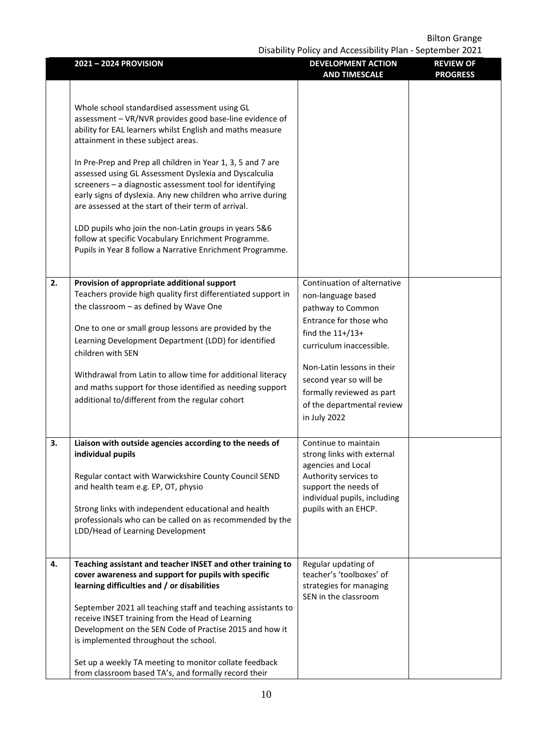Disability Policy and Accessibility Plan - September 2021

|    |                                                                                                                                                                                                                                                                                                                                                                                                                                                                                                                                                                                                                                                                                                    | Disability Policy and Accessibility Pian - September 2021                                                                                                                         |                                     |
|----|----------------------------------------------------------------------------------------------------------------------------------------------------------------------------------------------------------------------------------------------------------------------------------------------------------------------------------------------------------------------------------------------------------------------------------------------------------------------------------------------------------------------------------------------------------------------------------------------------------------------------------------------------------------------------------------------------|-----------------------------------------------------------------------------------------------------------------------------------------------------------------------------------|-------------------------------------|
|    | 2021-2024 PROVISION                                                                                                                                                                                                                                                                                                                                                                                                                                                                                                                                                                                                                                                                                | <b>DEVELOPMENT ACTION</b><br><b>AND TIMESCALE</b>                                                                                                                                 | <b>REVIEW OF</b><br><b>PROGRESS</b> |
|    | Whole school standardised assessment using GL<br>assessment - VR/NVR provides good base-line evidence of<br>ability for EAL learners whilst English and maths measure<br>attainment in these subject areas.<br>In Pre-Prep and Prep all children in Year 1, 3, 5 and 7 are<br>assessed using GL Assessment Dyslexia and Dyscalculia<br>screeners - a diagnostic assessment tool for identifying<br>early signs of dyslexia. Any new children who arrive during<br>are assessed at the start of their term of arrival.<br>LDD pupils who join the non-Latin groups in years 5&6<br>follow at specific Vocabulary Enrichment Programme.<br>Pupils in Year 8 follow a Narrative Enrichment Programme. |                                                                                                                                                                                   |                                     |
|    |                                                                                                                                                                                                                                                                                                                                                                                                                                                                                                                                                                                                                                                                                                    |                                                                                                                                                                                   |                                     |
| 2. | Provision of appropriate additional support<br>Teachers provide high quality first differentiated support in<br>the classroom - as defined by Wave One<br>One to one or small group lessons are provided by the<br>Learning Development Department (LDD) for identified<br>children with SEN                                                                                                                                                                                                                                                                                                                                                                                                       | Continuation of alternative<br>non-language based<br>pathway to Common<br>Entrance for those who<br>find the $11+/13+$<br>curriculum inaccessible.                                |                                     |
|    | Withdrawal from Latin to allow time for additional literacy<br>and maths support for those identified as needing support<br>additional to/different from the regular cohort                                                                                                                                                                                                                                                                                                                                                                                                                                                                                                                        | Non-Latin lessons in their<br>second year so will be<br>formally reviewed as part<br>of the departmental review<br>in July 2022                                                   |                                     |
| 3. | Liaison with outside agencies according to the needs of<br>individual pupils<br>Regular contact with Warwickshire County Council SEND<br>and health team e.g. EP, OT, physio<br>Strong links with independent educational and health<br>professionals who can be called on as recommended by the<br>LDD/Head of Learning Development                                                                                                                                                                                                                                                                                                                                                               | Continue to maintain<br>strong links with external<br>agencies and Local<br>Authority services to<br>support the needs of<br>individual pupils, including<br>pupils with an EHCP. |                                     |
| 4. | Teaching assistant and teacher INSET and other training to<br>cover awareness and support for pupils with specific<br>learning difficulties and / or disabilities<br>September 2021 all teaching staff and teaching assistants to<br>receive INSET training from the Head of Learning<br>Development on the SEN Code of Practise 2015 and how it<br>is implemented throughout the school.<br>Set up a weekly TA meeting to monitor collate feedback<br>from classroom based TA's, and formally record their                                                                                                                                                                                        | Regular updating of<br>teacher's 'toolboxes' of<br>strategies for managing<br>SEN in the classroom                                                                                |                                     |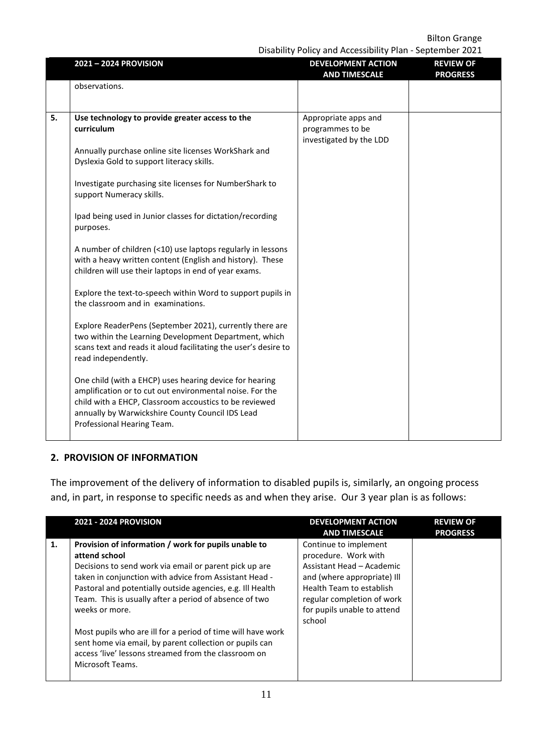Disability Policy and Accessibility Plan - September 2021

|    |                                                                                                                                                                                                                                                                 | Disability I Olicy and Accessibility Fiam September 2021            |                                     |
|----|-----------------------------------------------------------------------------------------------------------------------------------------------------------------------------------------------------------------------------------------------------------------|---------------------------------------------------------------------|-------------------------------------|
|    | 2021-2024 PROVISION                                                                                                                                                                                                                                             | <b>DEVELOPMENT ACTION</b><br><b>AND TIMESCALE</b>                   | <b>REVIEW OF</b><br><b>PROGRESS</b> |
|    | observations.                                                                                                                                                                                                                                                   |                                                                     |                                     |
| 5. | Use technology to provide greater access to the<br>curriculum<br>Annually purchase online site licenses WorkShark and<br>Dyslexia Gold to support literacy skills.<br>Investigate purchasing site licenses for NumberShark to                                   | Appropriate apps and<br>programmes to be<br>investigated by the LDD |                                     |
|    | support Numeracy skills.<br>Ipad being used in Junior classes for dictation/recording<br>purposes.<br>A number of children (<10) use laptops regularly in lessons<br>with a heavy written content (English and history). These                                  |                                                                     |                                     |
|    | children will use their laptops in end of year exams.<br>Explore the text-to-speech within Word to support pupils in<br>the classroom and in examinations.                                                                                                      |                                                                     |                                     |
|    | Explore ReaderPens (September 2021), currently there are<br>two within the Learning Development Department, which<br>scans text and reads it aloud facilitating the user's desire to<br>read independently.                                                     |                                                                     |                                     |
|    | One child (with a EHCP) uses hearing device for hearing<br>amplification or to cut out environmental noise. For the<br>child with a EHCP, Classroom accoustics to be reviewed<br>annually by Warwickshire County Council IDS Lead<br>Professional Hearing Team. |                                                                     |                                     |

#### **2. PROVISION OF INFORMATION**

The improvement of the delivery of information to disabled pupils is, similarly, an ongoing process and, in part, in response to specific needs as and when they arise. Our 3 year plan is as follows:

|    | <b>2021 - 2024 PROVISION</b>                                                                                                                                                                                                                                                                                                                                                                                                                                                                                                              | <b>DEVELOPMENT ACTION</b><br><b>AND TIMESCALE</b>                                                                                                                                                            | <b>REVIEW OF</b><br><b>PROGRESS</b> |
|----|-------------------------------------------------------------------------------------------------------------------------------------------------------------------------------------------------------------------------------------------------------------------------------------------------------------------------------------------------------------------------------------------------------------------------------------------------------------------------------------------------------------------------------------------|--------------------------------------------------------------------------------------------------------------------------------------------------------------------------------------------------------------|-------------------------------------|
| 1. | Provision of information / work for pupils unable to<br>attend school<br>Decisions to send work via email or parent pick up are<br>taken in conjunction with advice from Assistant Head -<br>Pastoral and potentially outside agencies, e.g. Ill Health<br>Team. This is usually after a period of absence of two<br>weeks or more.<br>Most pupils who are ill for a period of time will have work<br>sent home via email, by parent collection or pupils can<br>access 'live' lessons streamed from the classroom on<br>Microsoft Teams. | Continue to implement<br>procedure. Work with<br>Assistant Head – Academic<br>and (where appropriate) Ill<br>Health Team to establish<br>regular completion of work<br>for pupils unable to attend<br>school |                                     |
|    |                                                                                                                                                                                                                                                                                                                                                                                                                                                                                                                                           |                                                                                                                                                                                                              |                                     |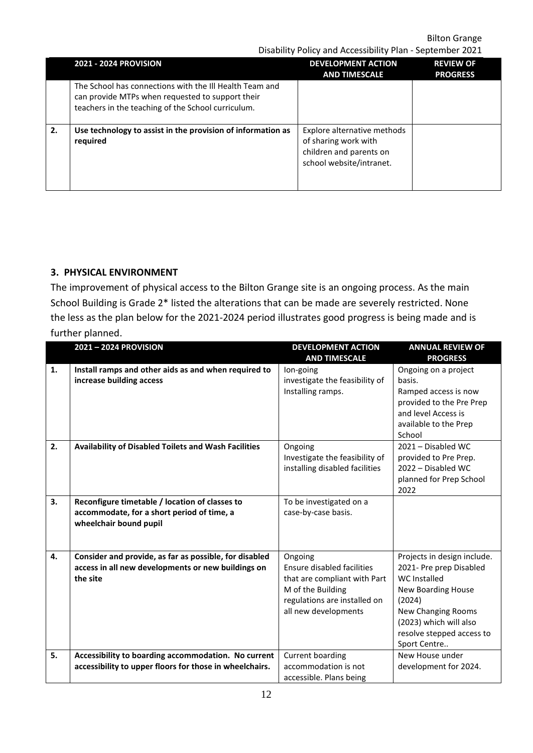Disability Policy and Accessibility Plan - September 2021

|    | <b>2021 - 2024 PROVISION</b>                                                                                                                                      | <b>DEVELOPMENT ACTION</b><br><b>AND TIMESCALE</b>                                                          | <b>REVIEW OF</b><br><b>PROGRESS</b> |
|----|-------------------------------------------------------------------------------------------------------------------------------------------------------------------|------------------------------------------------------------------------------------------------------------|-------------------------------------|
|    | The School has connections with the III Health Team and<br>can provide MTPs when requested to support their<br>teachers in the teaching of the School curriculum. |                                                                                                            |                                     |
| 2. | Use technology to assist in the provision of information as<br>required                                                                                           | Explore alternative methods<br>of sharing work with<br>children and parents on<br>school website/intranet. |                                     |

# **3. PHYSICAL ENVIRONMENT**

The improvement of physical access to the Bilton Grange site is an ongoing process. As the main School Building is Grade 2\* listed the alterations that can be made are severely restricted. None the less as the plan below for the 2021-2024 period illustrates good progress is being made and is further planned.

|    | 2021-2024 PROVISION                                                                                                      | <b>DEVELOPMENT ACTION</b><br><b>AND TIMESCALE</b>                                                                                                  | <b>ANNUAL REVIEW OF</b><br><b>PROGRESS</b>                                                                                                                                                                 |
|----|--------------------------------------------------------------------------------------------------------------------------|----------------------------------------------------------------------------------------------------------------------------------------------------|------------------------------------------------------------------------------------------------------------------------------------------------------------------------------------------------------------|
| 1. | Install ramps and other aids as and when required to<br>increase building access                                         | lon-going<br>investigate the feasibility of<br>Installing ramps.                                                                                   | Ongoing on a project<br>basis.<br>Ramped access is now<br>provided to the Pre Prep<br>and level Access is<br>available to the Prep<br>School                                                               |
| 2. | <b>Availability of Disabled Toilets and Wash Facilities</b>                                                              | Ongoing<br>Investigate the feasibility of<br>installing disabled facilities                                                                        | 2021 - Disabled WC<br>provided to Pre Prep.<br>2022 - Disabled WC<br>planned for Prep School<br>2022                                                                                                       |
| 3. | Reconfigure timetable / location of classes to<br>accommodate, for a short period of time, a<br>wheelchair bound pupil   | To be investigated on a<br>case-by-case basis.                                                                                                     |                                                                                                                                                                                                            |
| 4. | Consider and provide, as far as possible, for disabled<br>access in all new developments or new buildings on<br>the site | Ongoing<br>Ensure disabled facilities<br>that are compliant with Part<br>M of the Building<br>regulations are installed on<br>all new developments | Projects in design include.<br>2021- Pre prep Disabled<br>WC Installed<br>New Boarding House<br>(2024)<br><b>New Changing Rooms</b><br>(2023) which will also<br>resolve stepped access to<br>Sport Centre |
| 5. | Accessibility to boarding accommodation. No current<br>accessibility to upper floors for those in wheelchairs.           | Current boarding<br>accommodation is not<br>accessible. Plans being                                                                                | New House under<br>development for 2024.                                                                                                                                                                   |